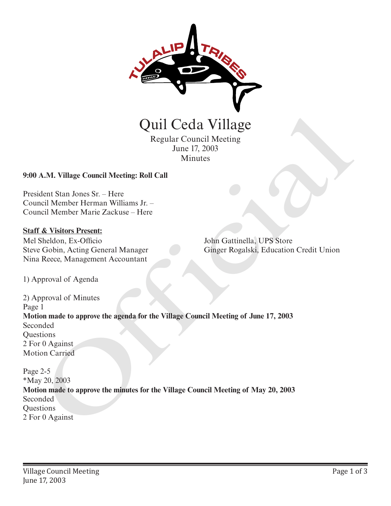

Regular Council Meeting June 17, 2003 Minutes

## **9:00 A.M. Village Council Meeting: Roll Call**

President Stan Jones Sr. – Here Council Member Herman Williams Jr. – Council Member Marie Zackuse – Here

#### **Staff & Visitors Present:**

Mel Sheldon, Ex-Officio Steve Gobin, Acting General Manager Nina Reece, Management Accountant

John Gattinella, UPS Store Ginger Rogalski, Education Credit Union

1) Approval of Agenda

2) Approval of Minutes Page 1 **Motion made to approve the agenda for the Village Council Meeting of June 17, 2003** Seconded **Questions** 2 For 0 Against Motion Carried **Quill Cecla Village**<br>
Regular Council Meeting<br>
June 17, 2003<br>
Minutes<br>
2-900 A.M. Village Council Meeting: Roll Call<br>
President Stan Jones Sr. – Here<br>
Council Member Herman Williams Jr.<br>
2-Council Member Herman Williams J

Page 2-5 \*May 20, 2003 **Motion made to approve the minutes for the Village Council Meeting of May 20, 2003** Seconded **Ouestions**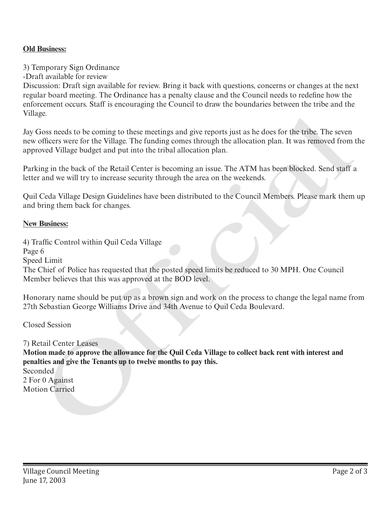# **Old Business:**

## 3) Temporary Sign Ordinance

-Draft available for review

Discussion: Draft sign available for review. Bring it back with questions, concerns or changes at the next regular board meeting. The Ordinance has a penalty clause and the Council needs to redefine how the enforcement occurs. Staff is encouraging the Council to draw the boundaries between the tribe and the Village.

Jay Goss needs to be coming to these meetings and give reports just as he does for the tribe. The seven new officers were for the Village. The funding comes through the allocation plan. It was removed from the approved Village budget and put into the tribal allocation plan.

Parking in the back of the Retail Center is becoming an issue. The ATM has been blocked. Send staff a letter and we will try to increase security through the area on the weekends.

Quil Ceda Village Design Guidelines have been distributed to the Council Members. Please mark them up and bring them back for changes.

#### **New Business:**

4) Traffic Control within Quil Ceda Village Page 6 Speed Limit The Chief of Police has requested that the posted speed limits be reduced to 30 MPH. One Council Member believes that this was approved at the BOD level. Vinage.<br>
Yinage States to be coming to these meetings and give reports just as he does for the tribe. The seven<br>
any coliciers were for the Village. The funding comes through the allocation plan. It was removed Village bud

Honorary name should be put up as a brown sign and work on the process to change the legal name from 27th Sebastian George Williams Drive and 34th Avenue to Quil Ceda Boulevard.

Closed Session

#### 7) Retail Center Leases

**Motion made to approve the allowance for the Quil Ceda Village to collect back rent with interest and penalties and give the Tenants up to twelve months to pay this.**

Seconded 2 For 0 Against